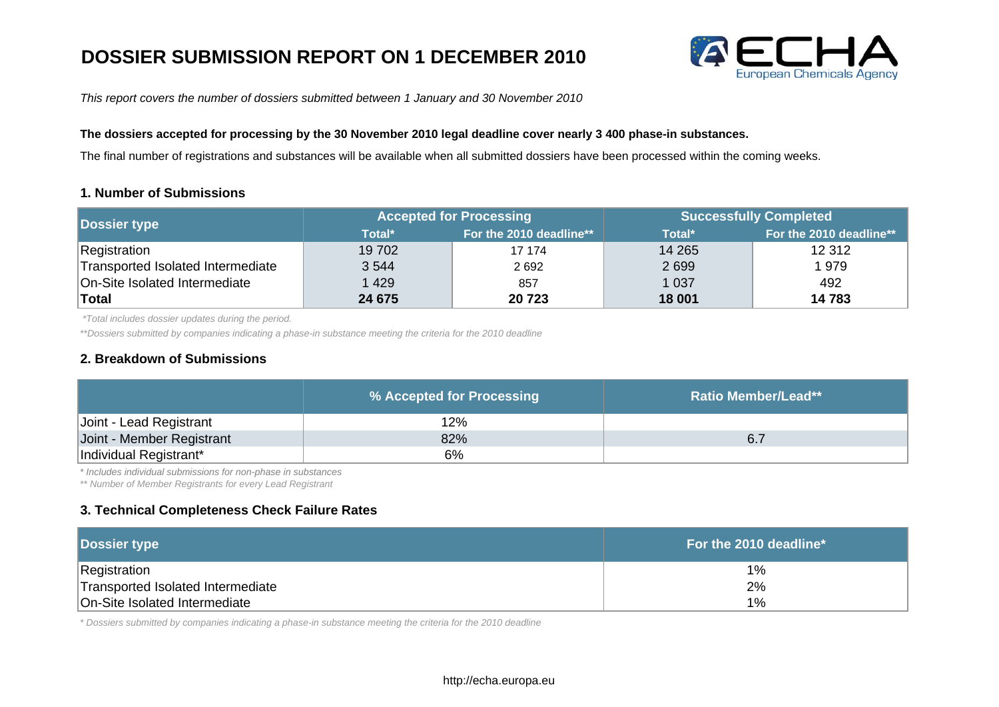# **DOSSIER SUBMISSION REPORT ON 1 DECEMBER 2010**



*This report covers the number of dossiers submitted between 1 January and 30 November 2010*

#### **The dossiers accepted for processing by the 30 November 2010 legal deadline cover nearly 3 400 phase-in substances.**

The final number of registrations and substances will be available when all submitted dossiers have been processed within the coming weeks.

### **1. Number of Submissions**

| Dossier type                      | <b>Accepted for Processing</b> |                         | <b>Successfully Completed</b> |                         |
|-----------------------------------|--------------------------------|-------------------------|-------------------------------|-------------------------|
|                                   | Total*                         | For the 2010 deadline** | Total*                        | For the 2010 deadline** |
| Registration                      | 19 702                         | 17 174                  | 14 2 65                       | 12 3 12                 |
| Transported Isolated Intermediate | 3 5 4 4                        | 2692                    | 2699                          | 1979                    |
| On-Site Isolated Intermediate     | 429                            | 857                     | 1 0 3 7                       | 492                     |
| <b>Total</b>                      | 24 675                         | 20723                   | 18 001                        | 14 783                  |

 *\*Total includes dossier updates during the period.*

*\*\*Dossiers submitted by companies indicating a phase-in substance meeting the criteria for the 2010 deadline*

### **2. Breakdown of Submissions**

|                           | % Accepted for Processing | <b>Ratio Member/Lead**</b> |
|---------------------------|---------------------------|----------------------------|
| Joint - Lead Registrant   | 12%                       |                            |
| Joint - Member Registrant | 82%                       | 6.7                        |
| Individual Registrant*    | 6%                        |                            |

*\* Includes individual submissions for non-phase in substances* 

*\*\* Number of Member Registrants for every Lead Registrant*

## **3. Technical Completeness Check Failure Rates**

| <b>Dossier type</b>               | . For the 2010 deadline $^{\ast}$ $^{\shortmid}$ |
|-----------------------------------|--------------------------------------------------|
| Registration                      | 1%                                               |
| Transported Isolated Intermediate | 2%                                               |
| On-Site Isolated Intermediate     | 1%                                               |

*\* Dossiers submitted by companies indicating a phase-in substance meeting the criteria for the 2010 deadline*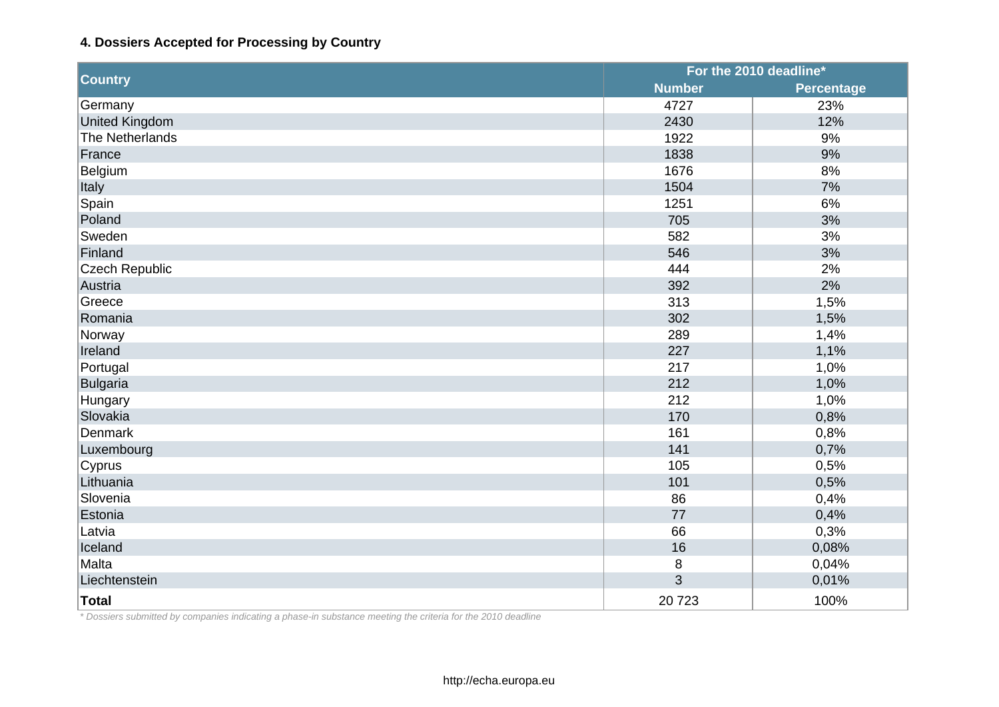# **4. Dossiers Accepted for Processing by Country**

|                       | For the 2010 deadline* |                   |
|-----------------------|------------------------|-------------------|
| <b>Country</b>        | <b>Number</b>          | <b>Percentage</b> |
| Germany               | 4727                   | 23%               |
| <b>United Kingdom</b> | 2430                   | 12%               |
| The Netherlands       | 1922                   | 9%                |
| France                | 1838                   | 9%                |
| Belgium               | 1676                   | 8%                |
| Italy                 | 1504                   | 7%                |
| Spain                 | 1251                   | 6%                |
| Poland                | 705                    | 3%                |
| Sweden                | 582                    | 3%                |
| Finland               | 546                    | 3%                |
| <b>Czech Republic</b> | 444                    | 2%                |
| Austria               | 392                    | 2%                |
| Greece                | 313                    | 1,5%              |
| Romania               | 302                    | 1,5%              |
| Norway                | 289                    | 1,4%              |
| Ireland               | 227                    | 1,1%              |
| Portugal              | 217                    | 1,0%              |
| <b>Bulgaria</b>       | 212                    | 1,0%              |
| Hungary               | 212                    | 1,0%              |
| Slovakia              | 170                    | 0,8%              |
| <b>Denmark</b>        | 161                    | 0,8%              |
| Luxembourg            | 141                    | 0,7%              |
| Cyprus                | 105                    | 0,5%              |
| Lithuania             | 101                    | 0,5%              |
| Slovenia              | 86                     | 0,4%              |
| Estonia               | 77                     | 0,4%              |
| Latvia                | 66                     | 0,3%              |
| Iceland               | 16                     | 0,08%             |
| Malta                 | 8                      | 0,04%             |
| Liechtenstein         | 3                      | 0,01%             |
| <b>Total</b>          | 20723                  | 100%              |

*\* Dossiers submitted by companies indicating a phase-in substance meeting the criteria for the 2010 deadline*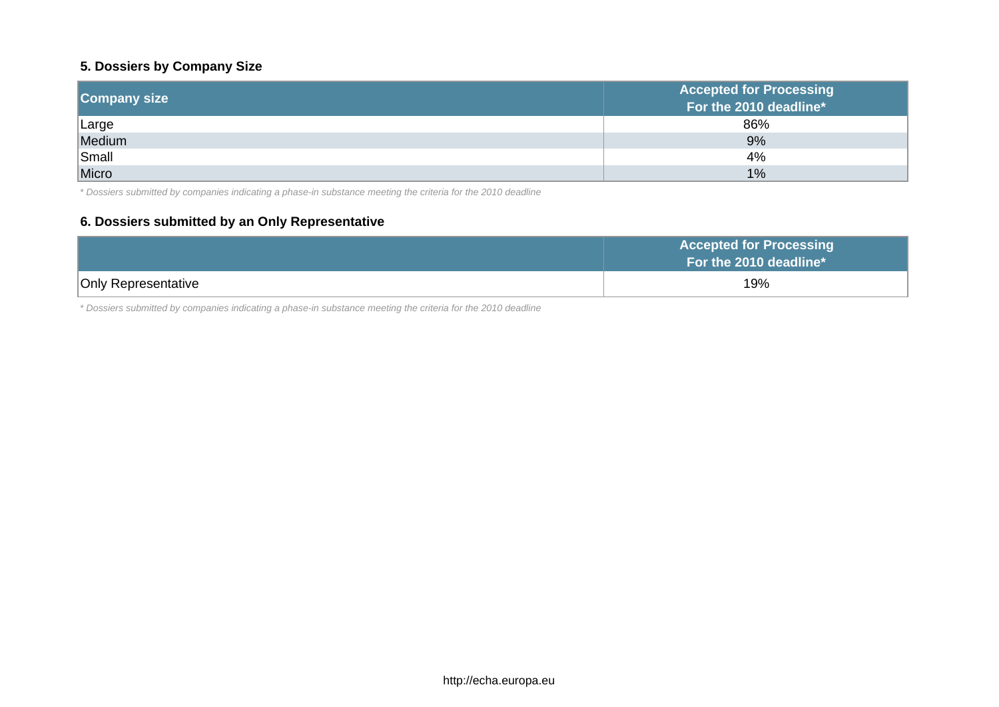# **5. Dossiers by Company Size**

| <b>Company size</b> | <b>Accepted for Processing</b><br>For the 2010 deadline* |
|---------------------|----------------------------------------------------------|
| Large               | 86%                                                      |
| Medium              | 9%                                                       |
| Small               | 4%                                                       |
| Micro               | 1%                                                       |

*\* Dossiers submitted by companies indicating a phase-in substance meeting the criteria for the 2010 deadline*

# **6. Dossiers submitted by an Only Representative**

|                            | <b>Accepted for Processing</b><br>For the 2010 deadline* |
|----------------------------|----------------------------------------------------------|
| <b>Only Representative</b> | 19%                                                      |

*\* Dossiers submitted by companies indicating a phase-in substance meeting the criteria for the 2010 deadline*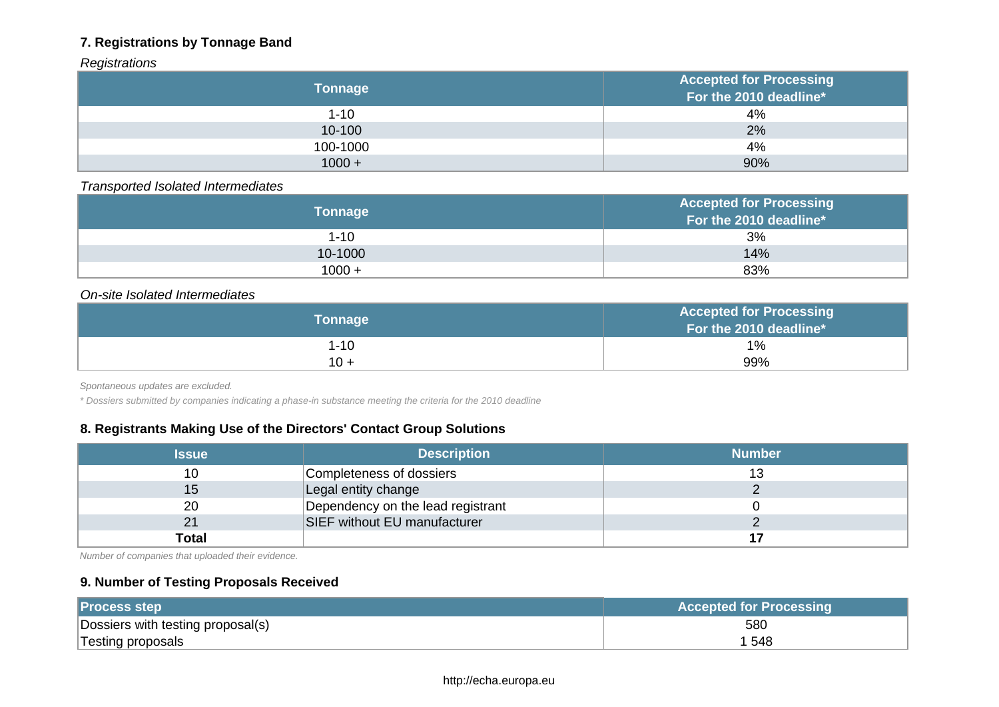# **7. Registrations by Tonnage Band**

# *Registrations*

| <b>Tonnage</b> | <b>Accepted for Processing</b><br>For the 2010 deadline* |
|----------------|----------------------------------------------------------|
| $1 - 10$       | 4%                                                       |
| 10-100         | 2%                                                       |
| 100-1000       | 4%                                                       |
| $1000 +$       | 90%                                                      |

# *Transported Isolated Intermediates*

| <b>Tonnage</b> | <b>Accepted for Processing</b><br>For the 2010 deadline* |
|----------------|----------------------------------------------------------|
| $1 - 10$       | 3%                                                       |
| 10-1000        | 14%                                                      |
| $1000 +$       | 83%                                                      |

#### *On-site Isolated Intermediates*

| Tonnage  | <b>Accepted for Processing</b><br>For the 2010 deadline* |
|----------|----------------------------------------------------------|
| $1 - 10$ | $1\%$                                                    |
| $10 +$   | 99%                                                      |

*Spontaneous updates are excluded.*

*\* Dossiers submitted by companies indicating a phase-in substance meeting the criteria for the 2010 deadline*

# **8. Registrants Making Use of the Directors' Contact Group Solutions**

| <b>Issue</b> | <b>Description</b>                | <b>Number</b> |
|--------------|-----------------------------------|---------------|
| 10           | Completeness of dossiers          |               |
| 15           | Legal entity change               |               |
| 20           | Dependency on the lead registrant |               |
| 21           | SIEF without EU manufacturer      |               |
| <b>Total</b> |                                   |               |

*Number of companies that uploaded their evidence.*

# **9. Number of Testing Proposals Received**

| <b>Process step</b>               | <b>Accepted for Processing</b> |
|-----------------------------------|--------------------------------|
| Dossiers with testing proposal(s) | 580                            |
| Testing proposals                 | 1 548                          |